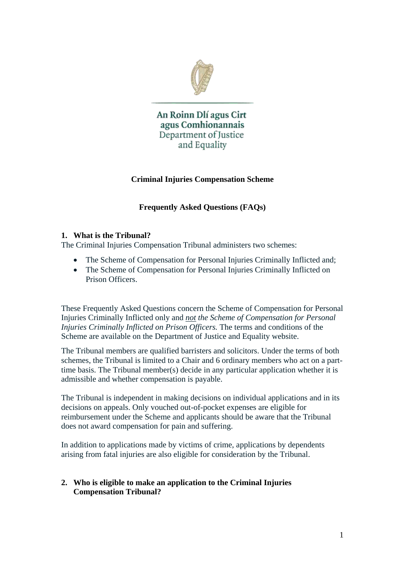

An Roinn Dlí agus Cirt agus Comhionannais Department of Justice and Equality

## **Criminal Injuries Compensation Scheme**

# **Frequently Asked Questions (FAQs)**

#### **1. What is the Tribunal?**

The Criminal Injuries Compensation Tribunal administers two schemes:

- The Scheme of Compensation for Personal Injuries Criminally Inflicted and;
- The Scheme of Compensation for Personal Injuries Criminally Inflicted on Prison Officers.

These Frequently Asked Questions concern the Scheme of Compensation for Personal Injuries Criminally Inflicted only and *not the Scheme of Compensation for Personal Injuries Criminally Inflicted on Prison Officers.* The terms and conditions of the Scheme are available on the Department of Justice and Equality website.

The Tribunal members are qualified barristers and solicitors. Under the terms of both schemes, the Tribunal is limited to a Chair and 6 ordinary members who act on a parttime basis. The Tribunal member(s) decide in any particular application whether it is admissible and whether compensation is payable.

The Tribunal is independent in making decisions on individual applications and in its decisions on appeals. Only vouched out-of-pocket expenses are eligible for reimbursement under the Scheme and applicants should be aware that the Tribunal does not award compensation for pain and suffering.

In addition to applications made by victims of crime, applications by dependents arising from fatal injuries are also eligible for consideration by the Tribunal.

## **2. Who is eligible to make an application to the Criminal Injuries Compensation Tribunal?**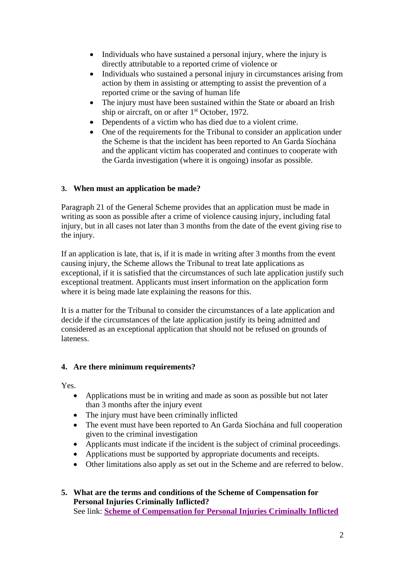- Individuals who have sustained a personal injury, where the injury is directly attributable to a reported crime of violence or
- Individuals who sustained a personal injury in circumstances arising from action by them in assisting or attempting to assist the prevention of a reported crime or the saving of human life
- The injury must have been sustained within the State or aboard an Irish ship or aircraft, on or after 1<sup>st</sup> October, 1972.
- Dependents of a victim who has died due to a violent crime.
- One of the requirements for the Tribunal to consider an application under the Scheme is that the incident has been reported to An Garda Síochána and the applicant victim has cooperated and continues to cooperate with the Garda investigation (where it is ongoing) insofar as possible.

# **3. When must an application be made?**

Paragraph 21 of the General Scheme provides that an application must be made in writing as soon as possible after a crime of violence causing injury, including fatal injury, but in all cases not later than 3 months from the date of the event giving rise to the injury.

If an application is late, that is, if it is made in writing after 3 months from the event causing injury, the Scheme allows the Tribunal to treat late applications as exceptional, if it is satisfied that the circumstances of such late application justify such exceptional treatment. Applicants must insert information on the application form where it is being made late explaining the reasons for this.

It is a matter for the Tribunal to consider the circumstances of a late application and decide if the circumstances of the late application justify its being admitted and considered as an exceptional application that should not be refused on grounds of lateness.

# **4. Are there minimum requirements?**

Yes.

- Applications must be in writing and made as soon as possible but not later than 3 months after the injury event
- The injury must have been criminally inflicted
- The event must have been reported to An Garda Siochána and full cooperation given to the criminal investigation
- Applicants must indicate if the incident is the subject of criminal proceedings.
- Applications must be supported by appropriate documents and receipts.
- Other limitations also apply as set out in the Scheme and are referred to below.

# **5. What are the terms and conditions of the Scheme of Compensation for Personal Injuries Criminally Inflicted?**

See link: **[Scheme of Compensation for Personal Injuries Criminally Inflicted](http://www.justice.ie/en/JELR/Scheme%20of%20Compensation%20for%20Personal%20Injuries%20Criminally%20Inflicted%20-%20Cash%20Limited.pdf/Files/Scheme%20of%20Compensation%20for%20Personal%20Injuries%20Criminally%20Inflicted%20-%20Cash%20Limited.pdf)**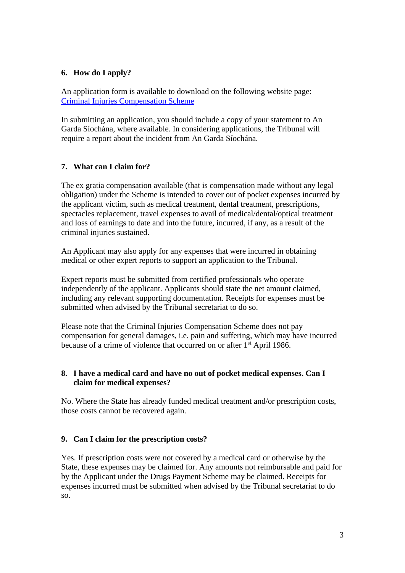#### **6. How do I apply?**

An application form is available to download on the following website page: [Criminal Injuries Compensation Scheme](http://www.justice.ie/en/JELR/Pages/WP15000110)

In submitting an application, you should include a copy of your statement to An Garda Síochána, where available. In considering applications, the Tribunal will require a report about the incident from An Garda Síochána.

## **7. What can I claim for?**

The ex gratia compensation available (that is compensation made without any legal obligation) under the Scheme is intended to cover out of pocket expenses incurred by the applicant victim, such as medical treatment, dental treatment, prescriptions, spectacles replacement, travel expenses to avail of medical/dental/optical treatment and loss of earnings to date and into the future, incurred, if any, as a result of the criminal injuries sustained.

An Applicant may also apply for any expenses that were incurred in obtaining medical or other expert reports to support an application to the Tribunal.

Expert reports must be submitted from certified professionals who operate independently of the applicant. Applicants should state the net amount claimed, including any relevant supporting documentation. Receipts for expenses must be submitted when advised by the Tribunal secretariat to do so.

Please note that the Criminal Injuries Compensation Scheme does not pay compensation for general damages, i.e. pain and suffering, which may have incurred because of a crime of violence that occurred on or after 1<sup>st</sup> April 1986.

#### **8. I have a medical card and have no out of pocket medical expenses. Can I claim for medical expenses?**

No. Where the State has already funded medical treatment and/or prescription costs, those costs cannot be recovered again.

#### **9. Can I claim for the prescription costs?**

Yes. If prescription costs were not covered by a medical card or otherwise by the State, these expenses may be claimed for. Any amounts not reimbursable and paid for by the Applicant under the Drugs Payment Scheme may be claimed. Receipts for expenses incurred must be submitted when advised by the Tribunal secretariat to do so.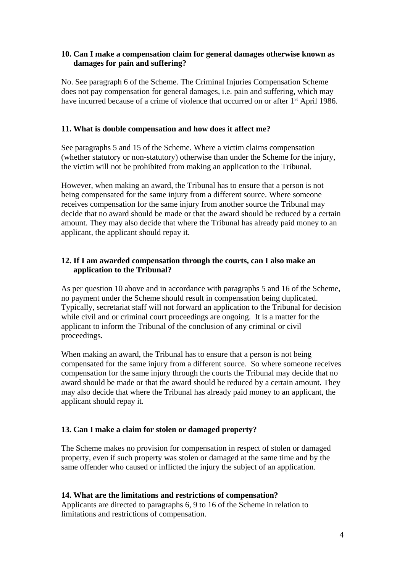#### **10. Can I make a compensation claim for general damages otherwise known as damages for pain and suffering?**

No. See paragraph 6 of the Scheme. The Criminal Injuries Compensation Scheme does not pay compensation for general damages, i.e. pain and suffering, which may have incurred because of a crime of violence that occurred on or after 1<sup>st</sup> April 1986.

#### **11. What is double compensation and how does it affect me?**

See paragraphs 5 and 15 of the Scheme. Where a victim claims compensation (whether statutory or non-statutory) otherwise than under the Scheme for the injury, the victim will not be prohibited from making an application to the Tribunal.

However, when making an award, the Tribunal has to ensure that a person is not being compensated for the same injury from a different source. Where someone receives compensation for the same injury from another source the Tribunal may decide that no award should be made or that the award should be reduced by a certain amount. They may also decide that where the Tribunal has already paid money to an applicant, the applicant should repay it.

## **12. If I am awarded compensation through the courts, can I also make an application to the Tribunal?**

As per question 10 above and in accordance with paragraphs 5 and 16 of the Scheme, no payment under the Scheme should result in compensation being duplicated. Typically, secretariat staff will not forward an application to the Tribunal for decision while civil and or criminal court proceedings are ongoing. It is a matter for the applicant to inform the Tribunal of the conclusion of any criminal or civil proceedings.

When making an award, the Tribunal has to ensure that a person is not being compensated for the same injury from a different source. So where someone receives compensation for the same injury through the courts the Tribunal may decide that no award should be made or that the award should be reduced by a certain amount. They may also decide that where the Tribunal has already paid money to an applicant, the applicant should repay it.

## **13. Can I make a claim for stolen or damaged property?**

The Scheme makes no provision for compensation in respect of stolen or damaged property, even if such property was stolen or damaged at the same time and by the same offender who caused or inflicted the injury the subject of an application.

#### **14. What are the limitations and restrictions of compensation?**

Applicants are directed to paragraphs 6, 9 to 16 of the Scheme in relation to limitations and restrictions of compensation.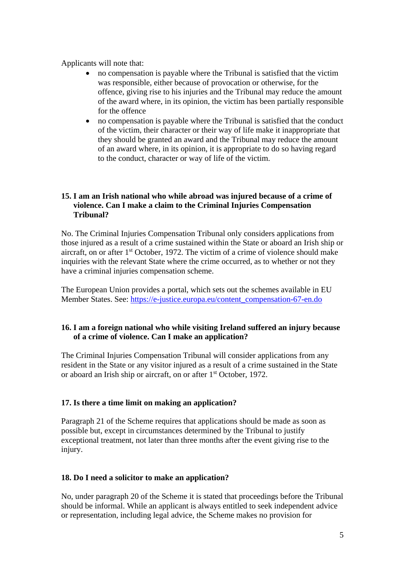Applicants will note that:

- no compensation is payable where the Tribunal is satisfied that the victim was responsible, either because of provocation or otherwise, for the offence, giving rise to his injuries and the Tribunal may reduce the amount of the award where, in its opinion, the victim has been partially responsible for the offence
- no compensation is payable where the Tribunal is satisfied that the conduct of the victim, their character or their way of life make it inappropriate that they should be granted an award and the Tribunal may reduce the amount of an award where, in its opinion, it is appropriate to do so having regard to the conduct, character or way of life of the victim.

## **15. I am an Irish national who while abroad was injured because of a crime of violence. Can I make a claim to the Criminal Injuries Compensation Tribunal?**

No. The Criminal Injuries Compensation Tribunal only considers applications from those injured as a result of a crime sustained within the State or aboard an Irish ship or aircraft, on or after 1st October, 1972. The victim of a crime of violence should make inquiries with the relevant State where the crime occurred, as to whether or not they have a criminal injuries compensation scheme.

The European Union provides a portal, which sets out the schemes available in EU Member States. See: [https://e-justice.europa.eu/content\\_compensation-67-en.do](https://e-justice.europa.eu/content_compensation-67-en.do)

## **16. I am a foreign national who while visiting Ireland suffered an injury because of a crime of violence. Can I make an application?**

The Criminal Injuries Compensation Tribunal will consider applications from any resident in the State or any visitor injured as a result of a crime sustained in the State or aboard an Irish ship or aircraft, on or after 1st October, 1972.

## **17. Is there a time limit on making an application?**

Paragraph 21 of the Scheme requires that applications should be made as soon as possible but, except in circumstances determined by the Tribunal to justify exceptional treatment, not later than three months after the event giving rise to the injury.

## **18. Do I need a solicitor to make an application?**

No, under paragraph 20 of the Scheme it is stated that proceedings before the Tribunal should be informal. While an applicant is always entitled to seek independent advice or representation, including legal advice, the Scheme makes no provision for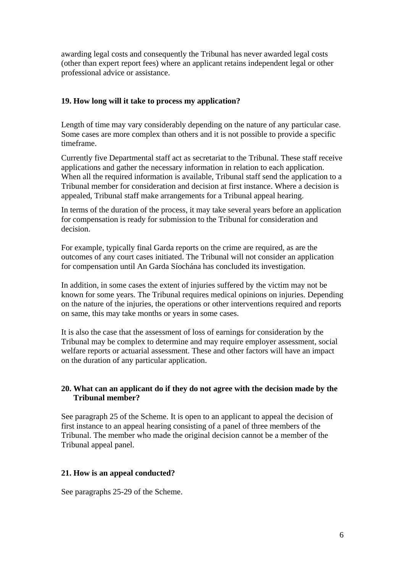awarding legal costs and consequently the Tribunal has never awarded legal costs (other than expert report fees) where an applicant retains independent legal or other professional advice or assistance.

#### **19. How long will it take to process my application?**

Length of time may vary considerably depending on the nature of any particular case. Some cases are more complex than others and it is not possible to provide a specific timeframe.

Currently five Departmental staff act as secretariat to the Tribunal. These staff receive applications and gather the necessary information in relation to each application. When all the required information is available, Tribunal staff send the application to a Tribunal member for consideration and decision at first instance. Where a decision is appealed, Tribunal staff make arrangements for a Tribunal appeal hearing.

In terms of the duration of the process, it may take several years before an application for compensation is ready for submission to the Tribunal for consideration and decision.

For example, typically final Garda reports on the crime are required, as are the outcomes of any court cases initiated. The Tribunal will not consider an application for compensation until An Garda Síochána has concluded its investigation.

In addition, in some cases the extent of injuries suffered by the victim may not be known for some years. The Tribunal requires medical opinions on injuries. Depending on the nature of the injuries, the operations or other interventions required and reports on same, this may take months or years in some cases.

It is also the case that the assessment of loss of earnings for consideration by the Tribunal may be complex to determine and may require employer assessment, social welfare reports or actuarial assessment. These and other factors will have an impact on the duration of any particular application.

#### **20. What can an applicant do if they do not agree with the decision made by the Tribunal member?**

See paragraph 25 of the Scheme. It is open to an applicant to appeal the decision of first instance to an appeal hearing consisting of a panel of three members of the Tribunal. The member who made the original decision cannot be a member of the Tribunal appeal panel.

#### **21. How is an appeal conducted?**

See paragraphs 25-29 of the Scheme.